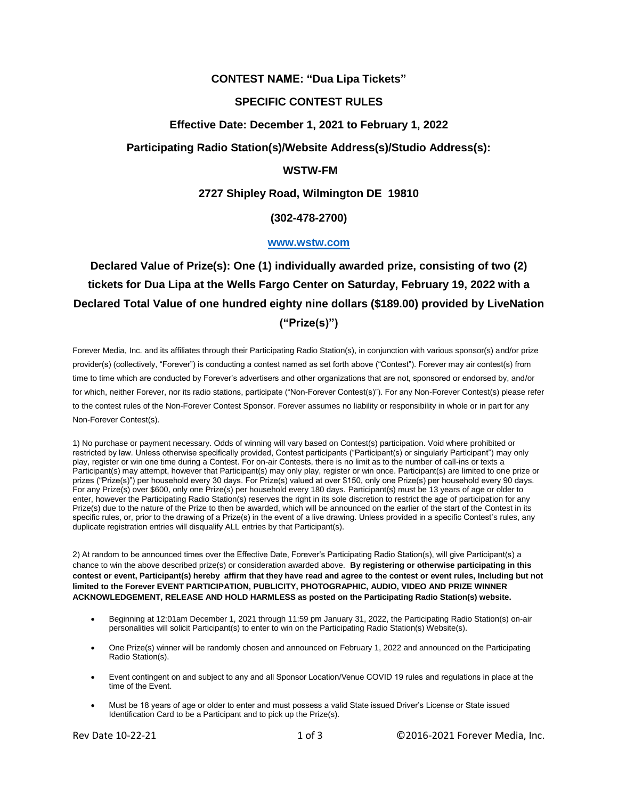# **CONTEST NAME: "Dua Lipa Tickets"**

# **SPECIFIC CONTEST RULES**

# **Effective Date: December 1, 2021 to February 1, 2022**

# **Participating Radio Station(s)/Website Address(s)/Studio Address(s):**

# **WSTW-FM**

# **2727 Shipley Road, Wilmington DE 19810**

# **(302-478-2700)**

#### **[www.wstw.com](http://www.wstw.com/)**

# **Declared Value of Prize(s): One (1) individually awarded prize, consisting of two (2) tickets for Dua Lipa at the Wells Fargo Center on Saturday, February 19, 2022 with a Declared Total Value of one hundred eighty nine dollars (\$189.00) provided by LiveNation ("Prize(s)")**

Forever Media, Inc. and its affiliates through their Participating Radio Station(s), in conjunction with various sponsor(s) and/or prize provider(s) (collectively, "Forever") is conducting a contest named as set forth above ("Contest"). Forever may air contest(s) from time to time which are conducted by Forever's advertisers and other organizations that are not, sponsored or endorsed by, and/or for which, neither Forever, nor its radio stations, participate ("Non-Forever Contest(s)"). For any Non-Forever Contest(s) please refer to the contest rules of the Non-Forever Contest Sponsor. Forever assumes no liability or responsibility in whole or in part for any Non-Forever Contest(s).

1) No purchase or payment necessary. Odds of winning will vary based on Contest(s) participation. Void where prohibited or restricted by law. Unless otherwise specifically provided, Contest participants ("Participant(s) or singularly Participant") may only play, register or win one time during a Contest. For on-air Contests, there is no limit as to the number of call-ins or texts a Participant(s) may attempt, however that Participant(s) may only play, register or win once. Participant(s) are limited to one prize or prizes ("Prize(s)") per household every 30 days. For Prize(s) valued at over \$150, only one Prize(s) per household every 90 days. For any Prize(s) over \$600, only one Prize(s) per household every 180 days. Participant(s) must be 13 years of age or older to enter, however the Participating Radio Station(s) reserves the right in its sole discretion to restrict the age of participation for any Prize(s) due to the nature of the Prize to then be awarded, which will be announced on the earlier of the start of the Contest in its specific rules, or, prior to the drawing of a Prize(s) in the event of a live drawing. Unless provided in a specific Contest's rules, any duplicate registration entries will disqualify ALL entries by that Participant(s).

2) At random to be announced times over the Effective Date, Forever's Participating Radio Station(s), will give Participant(s) a chance to win the above described prize(s) or consideration awarded above. **By registering or otherwise participating in this contest or event, Participant(s) hereby affirm that they have read and agree to the contest or event rules, Including but not limited to the Forever EVENT PARTICIPATION, PUBLICITY, PHOTOGRAPHIC, AUDIO, VIDEO AND PRIZE WINNER ACKNOWLEDGEMENT, RELEASE AND HOLD HARMLESS as posted on the Participating Radio Station(s) website.**

- Beginning at 12:01am December 1, 2021 through 11:59 pm January 31, 2022, the Participating Radio Station(s) on-air personalities will solicit Participant(s) to enter to win on the Participating Radio Station(s) Website(s).
- One Prize(s) winner will be randomly chosen and announced on February 1, 2022 and announced on the Participating Radio Station(s).
- Event contingent on and subject to any and all Sponsor Location/Venue COVID 19 rules and regulations in place at the time of the Event.
- Must be 18 years of age or older to enter and must possess a valid State issued Driver's License or State issued Identification Card to be a Participant and to pick up the Prize(s).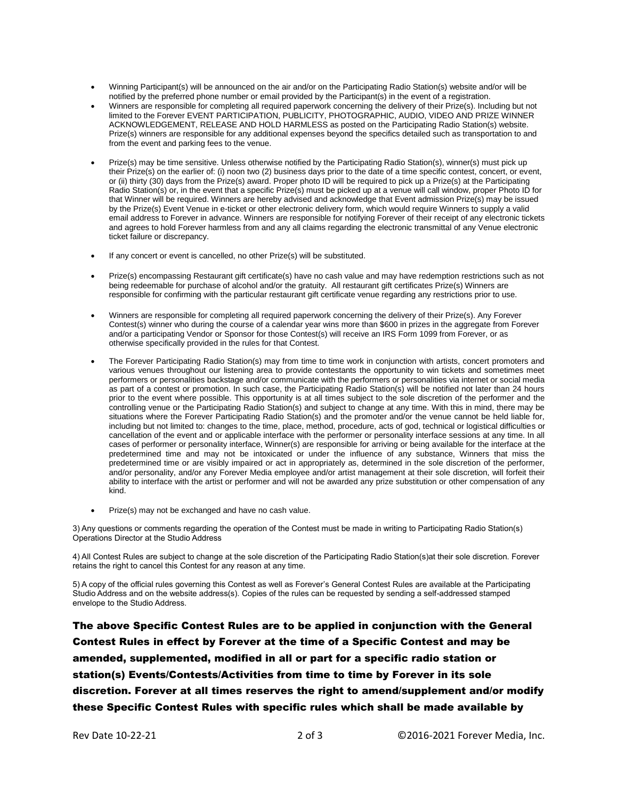- Winning Participant(s) will be announced on the air and/or on the Participating Radio Station(s) website and/or will be notified by the preferred phone number or email provided by the Participant(s) in the event of a registration.
- Winners are responsible for completing all required paperwork concerning the delivery of their Prize(s). Including but not limited to the Forever EVENT PARTICIPATION, PUBLICITY, PHOTOGRAPHIC, AUDIO, VIDEO AND PRIZE WINNER ACKNOWLEDGEMENT, RELEASE AND HOLD HARMLESS as posted on the Participating Radio Station(s) website. Prize(s) winners are responsible for any additional expenses beyond the specifics detailed such as transportation to and from the event and parking fees to the venue.
- Prize(s) may be time sensitive. Unless otherwise notified by the Participating Radio Station(s), winner(s) must pick up their Prize(s) on the earlier of: (i) noon two (2) business days prior to the date of a time specific contest, concert, or event, or (ii) thirty (30) days from the Prize(s) award. Proper photo ID will be required to pick up a Prize(s) at the Participating Radio Station(s) or, in the event that a specific Prize(s) must be picked up at a venue will call window, proper Photo ID for that Winner will be required. Winners are hereby advised and acknowledge that Event admission Prize(s) may be issued by the Prize(s) Event Venue in e-ticket or other electronic delivery form, which would require Winners to supply a valid email address to Forever in advance. Winners are responsible for notifying Forever of their receipt of any electronic tickets and agrees to hold Forever harmless from and any all claims regarding the electronic transmittal of any Venue electronic ticket failure or discrepancy.
- If any concert or event is cancelled, no other Prize(s) will be substituted.
- Prize(s) encompassing Restaurant gift certificate(s) have no cash value and may have redemption restrictions such as not being redeemable for purchase of alcohol and/or the gratuity. All restaurant gift certificates Prize(s) Winners are responsible for confirming with the particular restaurant gift certificate venue regarding any restrictions prior to use.
- Winners are responsible for completing all required paperwork concerning the delivery of their Prize(s). Any Forever Contest(s) winner who during the course of a calendar year wins more than \$600 in prizes in the aggregate from Forever and/or a participating Vendor or Sponsor for those Contest(s) will receive an IRS Form 1099 from Forever, or as otherwise specifically provided in the rules for that Contest.
- The Forever Participating Radio Station(s) may from time to time work in conjunction with artists, concert promoters and various venues throughout our listening area to provide contestants the opportunity to win tickets and sometimes meet performers or personalities backstage and/or communicate with the performers or personalities via internet or social media as part of a contest or promotion. In such case, the Participating Radio Station(s) will be notified not later than 24 hours prior to the event where possible. This opportunity is at all times subject to the sole discretion of the performer and the controlling venue or the Participating Radio Station(s) and subject to change at any time. With this in mind, there may be situations where the Forever Participating Radio Station(s) and the promoter and/or the venue cannot be held liable for, including but not limited to: changes to the time, place, method, procedure, acts of god, technical or logistical difficulties or cancellation of the event and or applicable interface with the performer or personality interface sessions at any time. In all cases of performer or personality interface, Winner(s) are responsible for arriving or being available for the interface at the predetermined time and may not be intoxicated or under the influence of any substance, Winners that miss the predetermined time or are visibly impaired or act in appropriately as, determined in the sole discretion of the performer, and/or personality, and/or any Forever Media employee and/or artist management at their sole discretion, will forfeit their ability to interface with the artist or performer and will not be awarded any prize substitution or other compensation of any kind.
- Prize(s) may not be exchanged and have no cash value.

3) Any questions or comments regarding the operation of the Contest must be made in writing to Participating Radio Station(s) Operations Director at the Studio Address

4) All Contest Rules are subject to change at the sole discretion of the Participating Radio Station(s)at their sole discretion. Forever retains the right to cancel this Contest for any reason at any time.

5) A copy of the official rules governing this Contest as well as Forever's General Contest Rules are available at the Participating Studio Address and on the website address(s). Copies of the rules can be requested by sending a self-addressed stamped envelope to the Studio Address.

The above Specific Contest Rules are to be applied in conjunction with the General Contest Rules in effect by Forever at the time of a Specific Contest and may be amended, supplemented, modified in all or part for a specific radio station or station(s) Events/Contests/Activities from time to time by Forever in its sole discretion. Forever at all times reserves the right to amend/supplement and/or modify these Specific Contest Rules with specific rules which shall be made available by